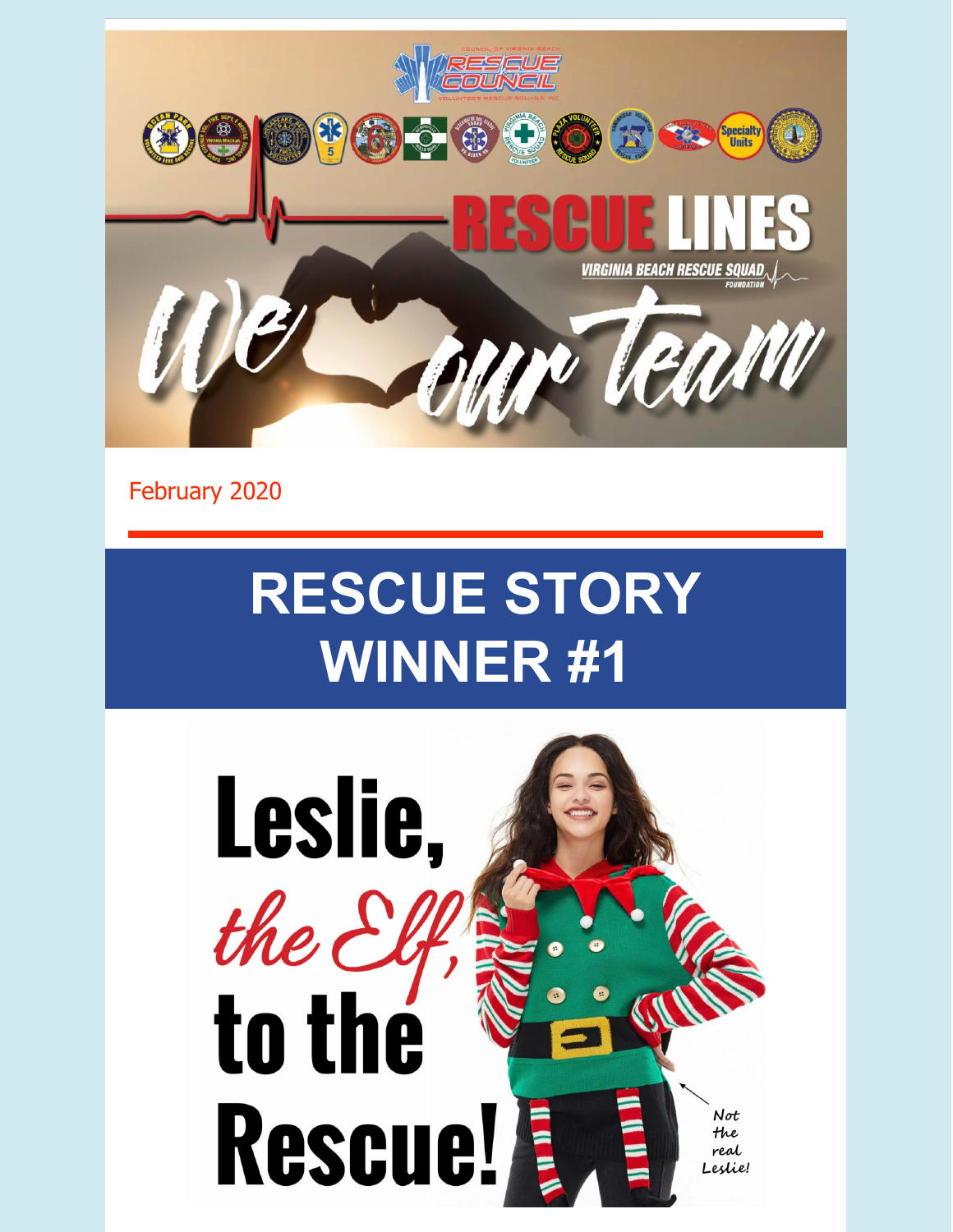

February 2020

# **RESCUE STORY WINNER #1**

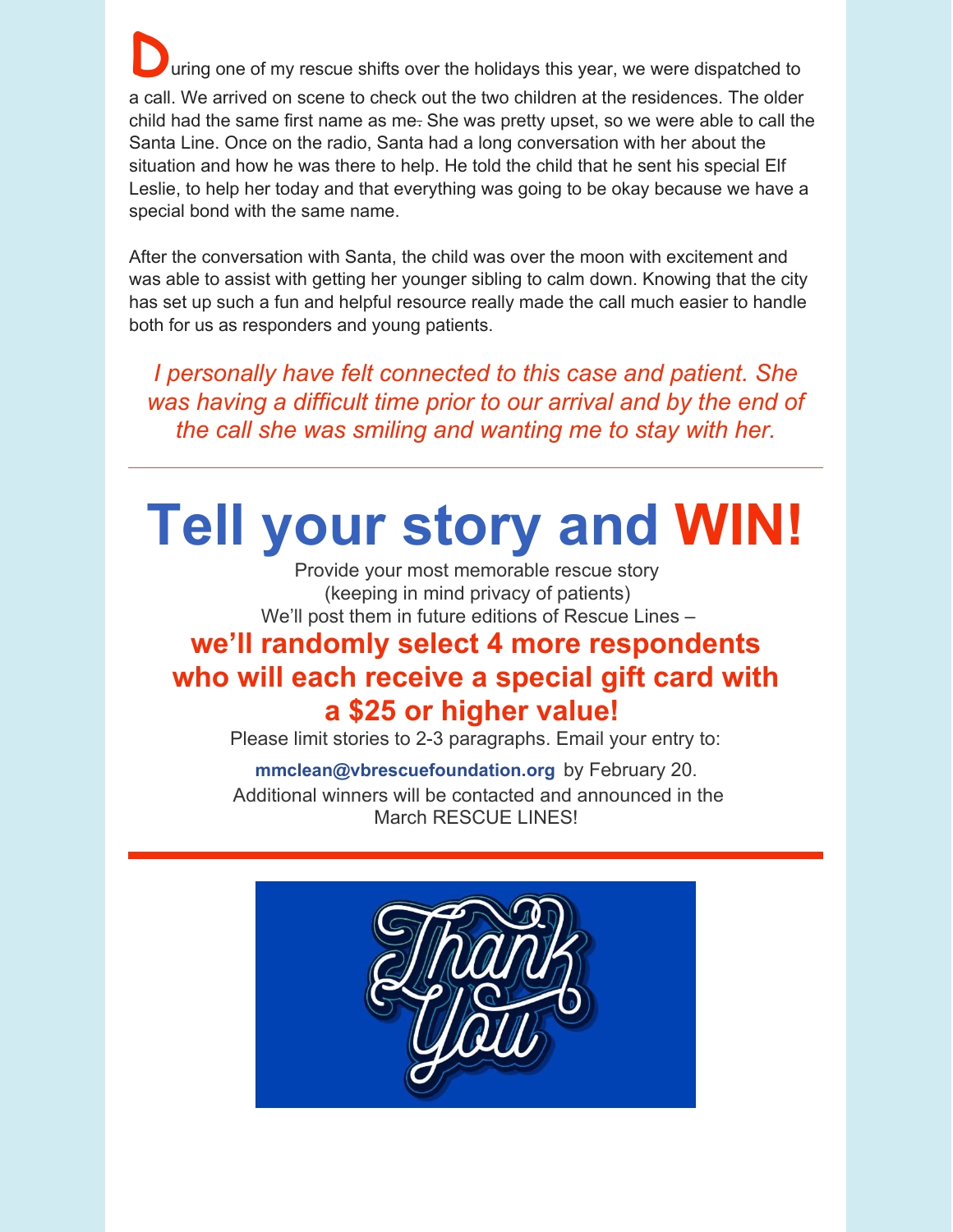uring one of my rescue shifts over the holidays this year, we were dispatched to a call. We arrived on scene to check out the two children at the residences. The older child had the same first name as me. She was pretty upset, so we were able to call the Santa Line. Once on the radio, Santa had a long conversation with her about the situation and how he was there to help. He told the child that he sent his special Elf Leslie, to help her today and that everything was going to be okay because we have a special bond with the same name.

After the conversation with Santa, the child was over the moon with excitement and was able to assist with getting her younger sibling to calm down. Knowing that the city has set up such a fun and helpful resource really made the call much easier to handle both for us as responders and young patients.

*I personally have felt connected to this case and patient. She was having a difficult time prior to our arrival and by the end of the call she was smiling and wanting me to stay with her.*

## **Tell your story and WIN!**

Provide your most memorable rescue story (keeping in mind privacy of patients) We'll post them in future editions of Rescue Lines –

### **we'll randomly select 4 more respondents who will each receive a special gift card with a \$25 or higher value!**

Please limit stories to 2-3 paragraphs. Email your entry to:

#### **[mmclean@vbrescuefoundation.org](mailto:mmclean@vbrescuefoundation.org)** by February 20.

Additional winners will be contacted and announced in the March RESCUE LINES!

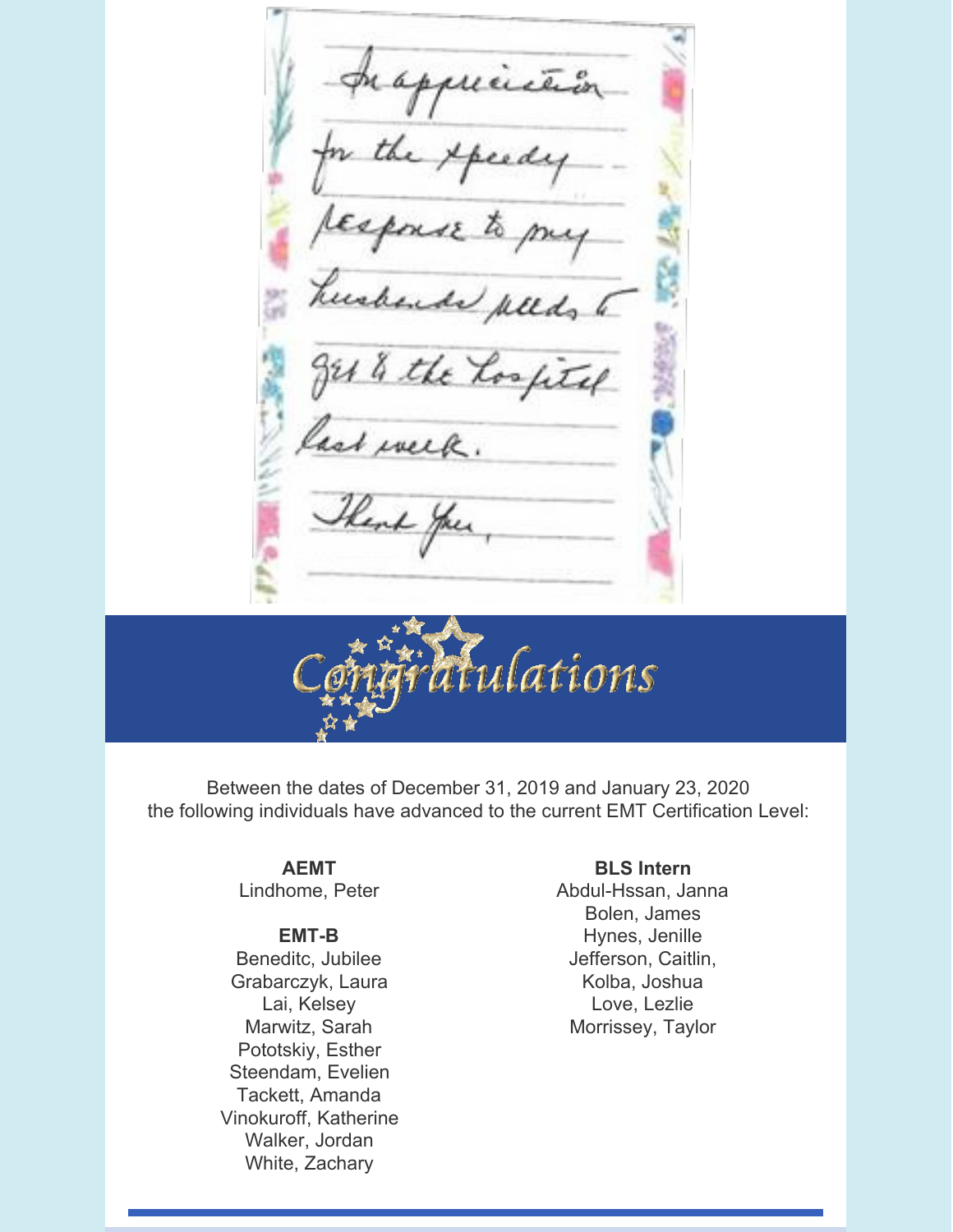prapprición <u>eed</u> esponse  $\mathcal{L}_0$ ende pleds to 1 % the Los fitel ast week.



Between the dates of December 31, 2019 and January 23, 2020 the following individuals have advanced to the current EMT Certification Level:

> **AEMT** Lindhome, Peter

#### **EMT-B**

Beneditc, Jubilee Grabarczyk, Laura Lai, Kelsey Marwitz, Sarah Pototskiy, Esther Steendam, Evelien Tackett, Amanda Vinokuroff, Katherine Walker, Jordan White, Zachary

#### **BLS Intern**

Abdul-Hssan, Janna Bolen, James Hynes, Jenille Jefferson, Caitlin, Kolba, Joshua Love, Lezlie Morrissey, Taylor